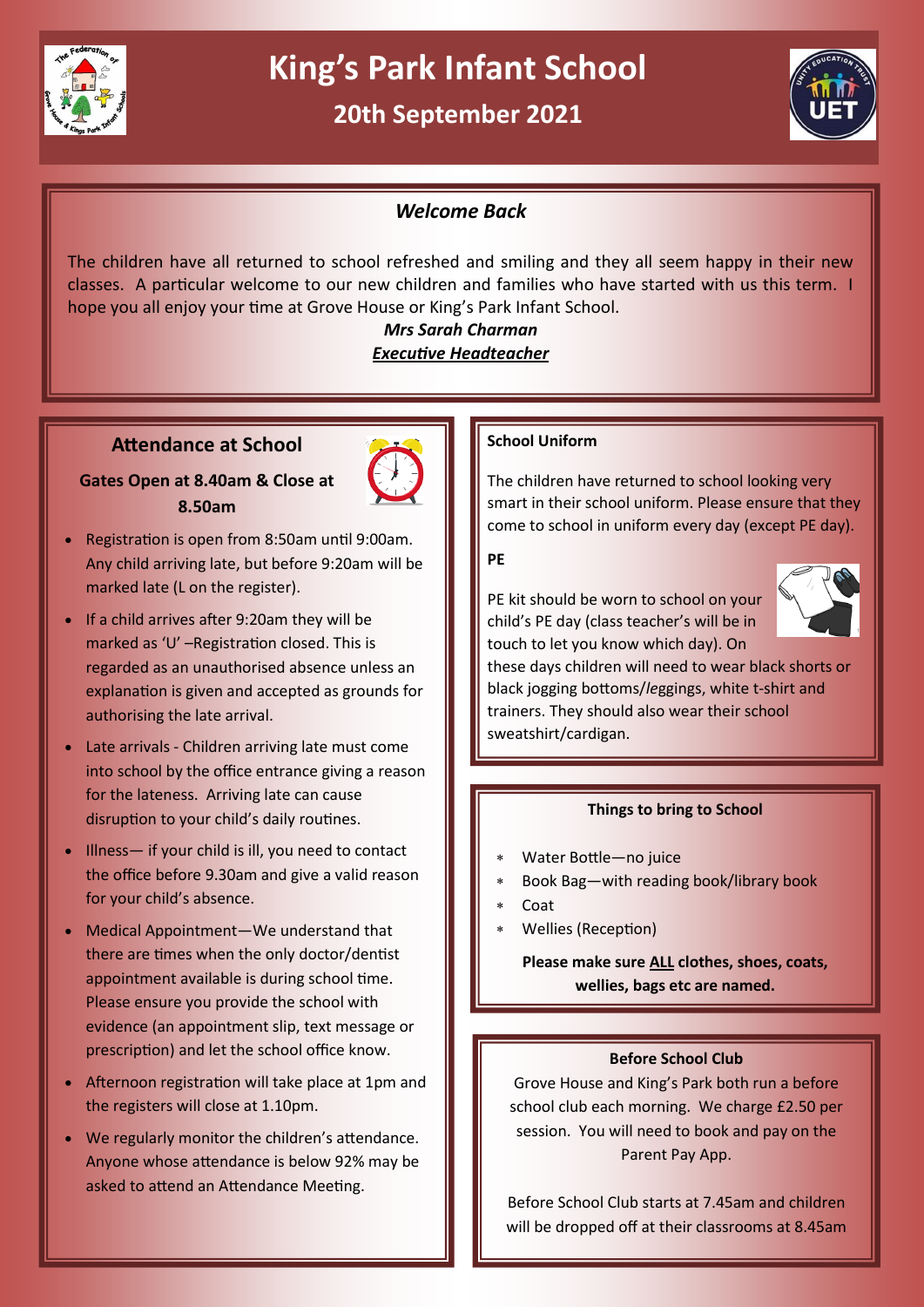

# **King's Park Infant School**

# **20th September 2021**



# *Welcome Back*

The children have all returned to school refreshed and smiling and they all seem happy in their new classes. A particular welcome to our new children and families who have started with us this term. I hope you all enjoy your time at Grove House or King's Park Infant School.

# *Mrs Sarah Charman Executive Headteacher*

# **Attendance at School**

# **Gates Open at 8.40am & Close at 8.50am**



- Registration is open from 8:50am until 9:00am. Any child arriving late, but before 9:20am will be marked late (L on the register).
- If a child arrives after 9:20am they will be marked as 'U' –Registration closed. This is regarded as an unauthorised absence unless an explanation is given and accepted as grounds for authorising the late arrival.
- Late arrivals Children arriving late must come into school by the office entrance giving a reason for the lateness. Arriving late can cause disruption to your child's daily routines.
- Illness— if your child is ill, you need to contact the office before 9.30am and give a valid reason for your child's absence.
- Medical Appointment—We understand that there are times when the only doctor/dentist appointment available is during school time. Please ensure you provide the school with evidence (an appointment slip, text message or prescription) and let the school office know.
- Afternoon registration will take place at 1pm and the registers will close at 1.10pm.
- We regularly monitor the children's attendance. Anyone whose attendance is below 92% may be asked to attend an Attendance Meeting.

# **School Uniform**

The children have returned to school looking very smart in their school uniform. Please ensure that they come to school in uniform every day (except PE day).

#### **PE**

PE kit should be worn to school on your child's PE day (class teacher's will be in touch to let you know which day). On



these days children will need to wear black shorts or black jogging bottoms/*le*ggings, white t-shirt and trainers. They should also wear their school sweatshirt/cardigan.

# **Things to bring to School**

- Water Bottle—no juice
- Book Bag—with reading book/library book
- Coat
- Wellies (Reception)

**Please make sure ALL clothes, shoes, coats, wellies, bags etc are named.**

# **Before School Club**

Grove House and King's Park both run a before school club each morning. We charge £2.50 per session. You will need to book and pay on the Parent Pay App.

Before School Club starts at 7.45am and children will be dropped off at their classrooms at 8.45am